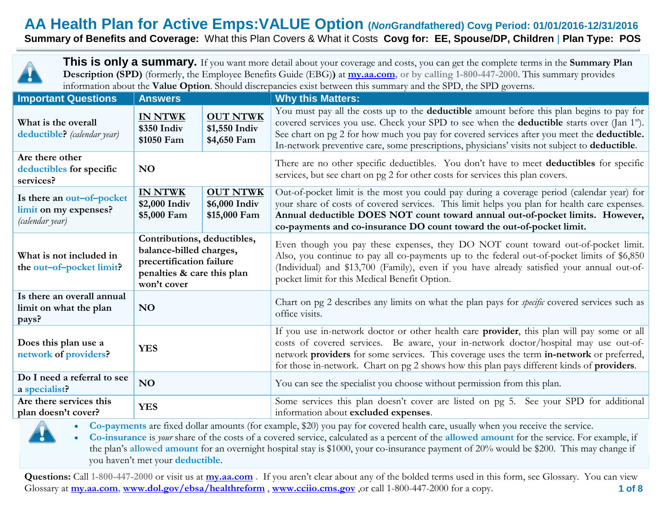## **AA Health Plan for Active Emps:VALUE Option (***Non***Grandfathered) Covg Period: 01/01/2016-12/31/2016**

**Summary of Benefits and Coverage:** What this Plan Covers & What it Costs **Covg for: EE, Spouse/DP, Children** | **Plan Type: POS**



**This is only a summary.** If you want more detail about your coverage and costs, you can get the complete terms in the **Summary Plan Description (SPD)** (formerly, the Employee Benefits Guide (EBG)**)** at **[my.aa.com,](http://my.aa.com/) or by calling 1-800-447-2000**. This summary provides information about the **Value Option**. Should discrepancies exist between this summary and the SPD, the SPD governs.

| <b>Important Questions</b>                                            | <b>Answers</b>                                                                                                                  |                                                  | <b>Why this Matters:</b>                                                                                                                                                                                                                                                                                                                                                                                                 |  |  |
|-----------------------------------------------------------------------|---------------------------------------------------------------------------------------------------------------------------------|--------------------------------------------------|--------------------------------------------------------------------------------------------------------------------------------------------------------------------------------------------------------------------------------------------------------------------------------------------------------------------------------------------------------------------------------------------------------------------------|--|--|
| What is the overall<br>deductible? (calendar year)                    | <b>IN NTWK</b><br>\$350 Indiv<br>\$1050 Fam                                                                                     | <b>OUT NTWK</b><br>\$1,550 Indiv<br>\$4,650 Fam  | You must pay all the costs up to the <b>deductible</b> amount before this plan begins to pay for<br>covered services you use. Check your SPD to see when the <b>deductible</b> starts over (Jan 1 <sup>st</sup> ).<br>See chart on pg 2 for how much you pay for covered services after you meet the <b>deductible.</b><br>In-network preventive care, some prescriptions, physicians' visits not subject to deductible. |  |  |
| Are there other<br>deductibles for specific<br>services?              | <b>NO</b>                                                                                                                       |                                                  | There are no other specific deductibles. You don't have to meet deductibles for specific<br>services, but see chart on pg 2 for other costs for services this plan covers.                                                                                                                                                                                                                                               |  |  |
| Is there an out-of-pocket<br>limit on my expenses?<br>(calendar year) | <b>IN NTWK</b><br>\$2,000 Indiv<br>\$5,000 Fam                                                                                  | <b>OUT NTWK</b><br>\$6,000 Indiv<br>\$15,000 Fam | Out-of-pocket limit is the most you could pay during a coverage period (calendar year) for<br>your share of costs of covered services. This limit helps you plan for health care expenses.<br>Annual deductible DOES NOT count toward annual out-of-pocket limits. However,<br>co-payments and co-insurance DO count toward the out-of-pocket limit.                                                                     |  |  |
| What is not included in<br>the out-of-pocket limit?                   | Contributions, deductibles,<br>balance-billed charges,<br>precertification failure<br>penalties & care this plan<br>won't cover |                                                  | Even though you pay these expenses, they DO NOT count toward out-of-pocket limit.<br>Also, you continue to pay all co-payments up to the federal out-of-pocket limits of \$6,850<br>(Individual) and \$13,700 (Family), even if you have already satisfied your annual out-of-<br>pocket limit for this Medical Benefit Option.                                                                                          |  |  |
| Is there an overall annual<br>limit on what the plan<br>pays?         | <b>NO</b>                                                                                                                       |                                                  | Chart on pg 2 describes any limits on what the plan pays for <i>specific</i> covered services such as<br>office visits.                                                                                                                                                                                                                                                                                                  |  |  |
| Does this plan use a<br>network of providers?                         | <b>YES</b>                                                                                                                      |                                                  | If you use in-network doctor or other health care provider, this plan will pay some or all<br>costs of covered services. Be aware, your in-network doctor/hospital may use out-of-<br>network providers for some services. This coverage uses the term in-network or preferred,<br>for those in-network. Chart on pg 2 shows how this plan pays different kinds of providers.                                            |  |  |
| Do I need a referral to see<br>a specialist?                          | <b>NO</b>                                                                                                                       |                                                  | You can see the specialist you choose without permission from this plan.                                                                                                                                                                                                                                                                                                                                                 |  |  |
| Are there services this<br>plan doesn't cover?                        | <b>YES</b>                                                                                                                      |                                                  | Some services this plan doesn't cover are listed on pg 5. See your SPD for additional<br>information about excluded expenses.                                                                                                                                                                                                                                                                                            |  |  |

**Co-payments** are fixed dollar amounts (for example, \$20) you pay for covered health care, usually when you receive the service.

 **Co-insurance** is *your* share of the costs of a covered service, calculated as a percent of the **allowed amount** for the service. For example, if the plan's **allowed amount** for an overnight hospital stay is \$1000, your co-insurance payment of 20% would be \$200. This may change if you haven't met your **deductible**.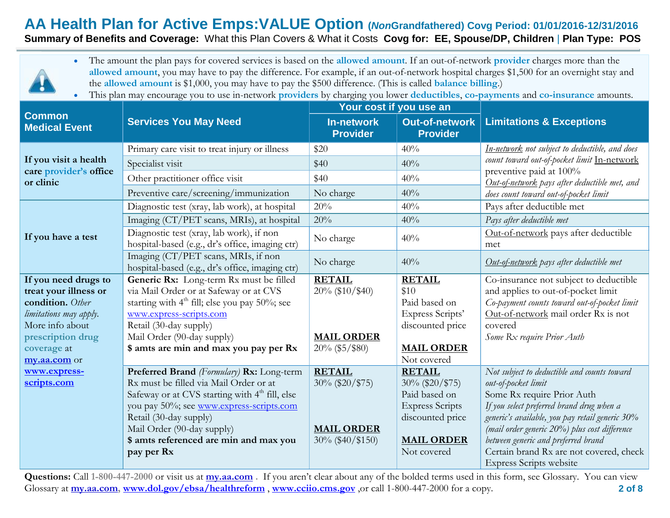# **AA Health Plan for Active Emps:VALUE Option (***Non***Grandfathered) Covg Period: 01/01/2016-12/31/2016**

**Summary of Benefits and Coverage:** What this Plan Covers & What it Costs **Covg for: EE, Spouse/DP, Children** | **Plan Type: POS**



 The amount the plan pays for covered services is based on the **allowed amount**. If an out-of-network **provider** charges more than the **allowed amount**, you may have to pay the difference. For example, if an out-of-network hospital charges \$1,500 for an overnight stay and the **allowed amount** is \$1,000, you may have to pay the \$500 difference. (This is called **balance billing**.)

This plan may encourage you to use in-network **providers** by charging you lower **deductibles**, **co-payments** and **co-insurance** amounts.

|                                       |                                                                                             | Your cost if you use an |                                          |                                                                           |  |
|---------------------------------------|---------------------------------------------------------------------------------------------|-------------------------|------------------------------------------|---------------------------------------------------------------------------|--|
| <b>Common</b><br><b>Medical Event</b> | <b>Services You May Need</b>                                                                |                         | <b>Out-of-network</b><br><b>Provider</b> | <b>Limitations &amp; Exceptions</b>                                       |  |
|                                       | Primary care visit to treat injury or illness                                               | \$20                    | 40%                                      | In-network not subject to deductible, and does                            |  |
| If you visit a health                 | Specialist visit                                                                            | \$40                    | 40%                                      | count toward out-of-pocket limit In-network                               |  |
| care provider's office<br>or clinic   | Other practitioner office visit                                                             | \$40                    | 40%                                      | preventive paid at 100%<br>Out-of-network pays after deductible met, and  |  |
|                                       | Preventive care/screening/immunization                                                      | No charge               | 40%                                      | does count toward out-of-pocket limit                                     |  |
|                                       | Diagnostic test (xray, lab work), at hospital                                               | 20%                     | 40%                                      | Pays after deductible met                                                 |  |
|                                       | Imaging (CT/PET scans, MRIs), at hospital                                                   | 20%                     | 40%                                      | Pays after deductible met                                                 |  |
| If you have a test                    | Diagnostic test (xray, lab work), if non<br>hospital-based (e.g., dr's office, imaging ctr) | No charge               | 40%                                      | Out-of-network pays after deductible<br>met                               |  |
|                                       | Imaging (CT/PET scans, MRIs, if non<br>hospital-based (e.g., dr's office, imaging ctr)      | No charge               | 40%                                      | Out-of-network pays after deductible met                                  |  |
| If you need drugs to                  | Generic Rx: Long-term Rx must be filled                                                     | <b>RETAIL</b>           | <b>RETAIL</b>                            | Co-insurance not subject to deductible                                    |  |
| treat your illness or                 | via Mail Order or at Safeway or at CVS                                                      | 20% (\$10/\$40)         | \$10                                     | and applies to out-of-pocket limit                                        |  |
| condition. Other                      | starting with 4 <sup>th</sup> fill; else you pay 50%; see                                   |                         | Paid based on                            | Co-payment counts toward out-of-pocket limit                              |  |
| limitations may apply.                | www.express-scripts.com                                                                     |                         | Express Scripts'                         | Out-of-network mail order Rx is not                                       |  |
| More info about<br>prescription drug  | Retail (30-day supply)<br>Mail Order (90-day supply)                                        | <b>MAIL ORDER</b>       | discounted price                         | covered<br>Some Rx require Prior Auth                                     |  |
| coverage at                           | \$ amts are min and max you pay per Rx                                                      | $20\%$ (\$5/\$80)       | <b>MAIL ORDER</b>                        |                                                                           |  |
| my.aa.com or                          |                                                                                             |                         | Not covered                              |                                                                           |  |
| www.express-                          | Preferred Brand (Formulary) Rx: Long-term                                                   | <b>RETAIL</b>           | <b>RETAIL</b>                            | Not subject to deductible and counts toward                               |  |
| scripts.com                           | Rx must be filled via Mail Order or at                                                      | 30% (\$20/\$75)         | $30\%$ (\$20/\$75)                       | out-of-pocket limit                                                       |  |
|                                       | Safeway or at CVS starting with 4 <sup>th</sup> fill, else                                  |                         | Paid based on                            | Some Rx require Prior Auth                                                |  |
|                                       | you pay 50%; see www.express-scripts.com                                                    |                         | <b>Express Scripts</b>                   | If you select preferred brand drug when a                                 |  |
|                                       | Retail (30-day supply)                                                                      |                         | discounted price                         | generic's available, you pay retail generic 30%                           |  |
|                                       | Mail Order (90-day supply)                                                                  | <b>MAIL ORDER</b>       |                                          | (mail order generic 20%) plus cost difference                             |  |
|                                       | \$ amts referenced are min and max you                                                      | $30\%$ (\$40/\$150)     | <b>MAIL ORDER</b>                        | between generic and preferred brand                                       |  |
|                                       | pay per Rx                                                                                  |                         | Not covered                              | Certain brand Rx are not covered, check<br><b>Express Scripts website</b> |  |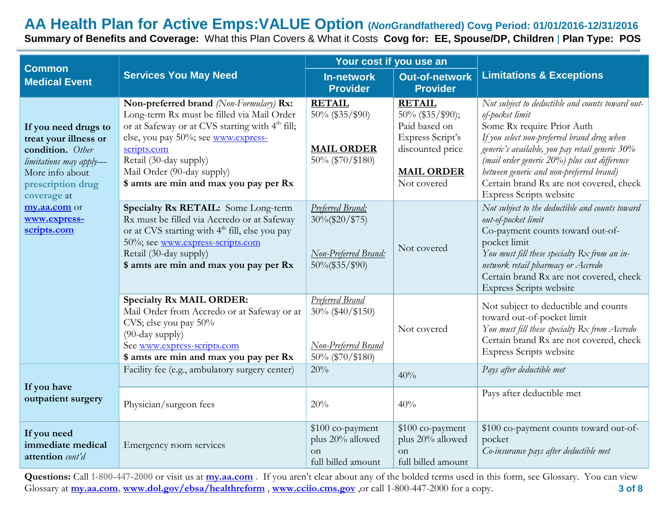## **AA Health Plan for Active Emps:VALUE Option (***Non***Grandfathered) Covg Period: 01/01/2016-12/31/2016 Summary of Benefits and Coverage:** What this Plan Covers & What it Costs **Covg for: EE, Spouse/DP, Children** | **Plan Type: POS**

| <b>Common</b>                                                                                                                                      |                                                                                                                                                                                                                                                                                                              | Your cost if you use an                                                          |                                                                                                                                |                                                                                                                                                                                                                                                                                                                                                                        |  |
|----------------------------------------------------------------------------------------------------------------------------------------------------|--------------------------------------------------------------------------------------------------------------------------------------------------------------------------------------------------------------------------------------------------------------------------------------------------------------|----------------------------------------------------------------------------------|--------------------------------------------------------------------------------------------------------------------------------|------------------------------------------------------------------------------------------------------------------------------------------------------------------------------------------------------------------------------------------------------------------------------------------------------------------------------------------------------------------------|--|
| <b>Medical Event</b>                                                                                                                               | <b>Services You May Need</b>                                                                                                                                                                                                                                                                                 | <b>In-network</b><br><b>Provider</b>                                             | <b>Out-of-network</b><br><b>Provider</b>                                                                                       | <b>Limitations &amp; Exceptions</b>                                                                                                                                                                                                                                                                                                                                    |  |
| If you need drugs to<br>treat your illness or<br>condition. Other<br>limitations may apply-<br>More info about<br>prescription drug<br>coverage at | Non-preferred brand (Non-Formulary) Rx:<br>Long-term Rx must be filled via Mail Order<br>or at Safeway or at CVS starting with 4 <sup>th</sup> fill;<br>else, you pay 50%; see www.express-<br>scripts.com<br>Retail (30-day supply)<br>Mail Order (90-day supply)<br>\$ amts are min and max you pay per Rx | <b>RETAIL</b><br>50% (\$35/\$90)<br><b>MAIL ORDER</b><br>50% (\$70/\$180)        | <b>RETAIL</b><br>50% (\$35/\$90);<br>Paid based on<br>Express Script's<br>discounted price<br><b>MAIL ORDER</b><br>Not covered | Not subject to deductible and counts toward out-<br>of-pocket limit<br>Some Rx require Prior Auth<br>If you select non-preferred brand drug when<br>generic's available, you pay retail generic 30%<br>(mail order generic 20%) plus cost difference<br>between generic and non-preferred brand)<br>Certain brand Rx are not covered, check<br>Express Scripts website |  |
| my.aa.com or<br>www.express-<br>scripts.com                                                                                                        | Specialty Rx RETAIL: Some Long-term<br>Rx must be filled via Accredo or at Safeway<br>or at CVS starting with 4 <sup>th</sup> fill, else you pay<br>50%; see www.express-scripts.com<br>Retail (30-day supply)<br>\$ amts are min and max you pay per Rx                                                     | Preferred Brand:<br>$30\%$ (\$20/\$75)<br>Non-Preferred Brand:<br>50%(\$35/\$90) | Not covered                                                                                                                    | Not subject to the deductible and counts toward<br>out-of-pocket limit<br>Co-payment counts toward out-of-<br>pocket limit<br>You must fill these specialty $Rx$ from an in-<br>network retail pharmacy or Accredo<br>Certain brand Rx are not covered, check<br>Express Scripts website                                                                               |  |
|                                                                                                                                                    | <b>Specialty Rx MAIL ORDER:</b><br>Mail Order from Accredo or at Safeway or at<br>CVS; else you pay 50%<br>(90-day supply)<br>See www.express-scripts.com<br>\$ amts are min and max you pay per Rx                                                                                                          | Preferred Brand<br>30% (\$40/\$150)<br>Non-Preferred Brand<br>50% (\$70/\$180)   | Not covered                                                                                                                    | Not subject to deductible and counts<br>toward out-of-pocket limit<br>You must fill these specialty Rx from Accredo<br>Certain brand Rx are not covered, check<br>Express Scripts website                                                                                                                                                                              |  |
|                                                                                                                                                    | Facility fee (e.g., ambulatory surgery center)                                                                                                                                                                                                                                                               | 20%                                                                              | 40%                                                                                                                            | Pays after deductible met                                                                                                                                                                                                                                                                                                                                              |  |
| If you have<br>outpatient surgery                                                                                                                  | Physician/surgeon fees                                                                                                                                                                                                                                                                                       | 20%                                                                              | 40%                                                                                                                            | Pays after deductible met                                                                                                                                                                                                                                                                                                                                              |  |
| If you need<br>immediate medical<br>attention cont'd                                                                                               | Emergency room services                                                                                                                                                                                                                                                                                      | \$100 co-payment<br>plus 20% allowed<br>on<br>full billed amount                 | \$100 co-payment<br>plus 20% allowed<br>on<br>full billed amount                                                               | \$100 co-payment counts toward out-of-<br>pocket<br>Co-insurance pays after deductible met                                                                                                                                                                                                                                                                             |  |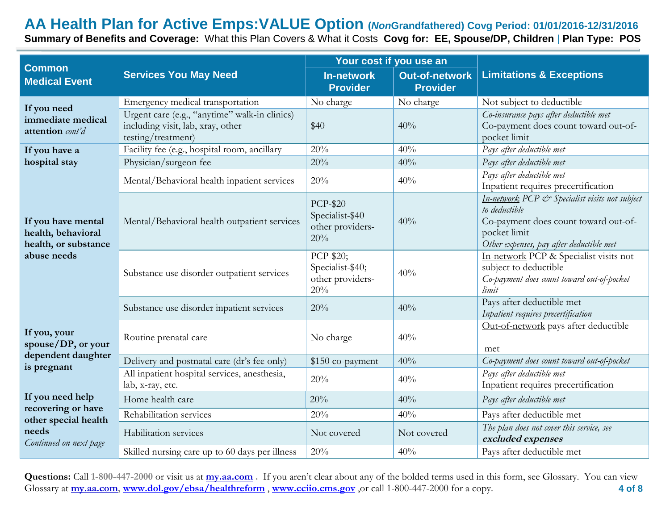## **AA Health Plan for Active Emps:VALUE Option (***Non***Grandfathered) Covg Period: 01/01/2016-12/31/2016 Summary of Benefits and Coverage:** What this Plan Covers & What it Costs **Covg for: EE, Spouse/DP, Children** | **Plan Type: POS**

| <b>Common</b>                                                                   |                                                                                                          | Your cost if you use an                                       |                                          |                                                                                                                                                                     |  |
|---------------------------------------------------------------------------------|----------------------------------------------------------------------------------------------------------|---------------------------------------------------------------|------------------------------------------|---------------------------------------------------------------------------------------------------------------------------------------------------------------------|--|
| <b>Services You May Need</b><br><b>Medical Event</b>                            |                                                                                                          | <b>In-network</b><br><b>Provider</b>                          | <b>Out-of-network</b><br><b>Provider</b> | <b>Limitations &amp; Exceptions</b>                                                                                                                                 |  |
| If you need                                                                     | Emergency medical transportation                                                                         | No charge                                                     | No charge                                | Not subject to deductible                                                                                                                                           |  |
| immediate medical<br>attention cont'd                                           | Urgent care (e.g., "anytime" walk-in clinics)<br>including visit, lab, xray, other<br>testing/treatment) | \$40                                                          | 40%                                      | Co-insurance pays after deductible met<br>Co-payment does count toward out-of-<br>pocket limit                                                                      |  |
| If you have a                                                                   | Facility fee (e.g., hospital room, ancillary                                                             | 20%                                                           | 40%                                      | Pays after deductible met                                                                                                                                           |  |
| hospital stay                                                                   | Physician/surgeon fee                                                                                    | 20%                                                           | 40%                                      | Pays after deductible met                                                                                                                                           |  |
|                                                                                 | Mental/Behavioral health inpatient services                                                              | 20%                                                           | 40%                                      | Pays after deductible met<br>Inpatient requires precertification                                                                                                    |  |
| If you have mental<br>health, behavioral<br>health, or substance<br>abuse needs | Mental/Behavioral health outpatient services                                                             | <b>PCP-\$20</b><br>Specialist-\$40<br>other providers-<br>20% | 40%                                      | In-network PCP & Specialist visits not subject<br>to deductible<br>Co-payment does count toward out-of-<br>pocket limit<br>Other expenses, pay after deductible met |  |
|                                                                                 | Substance use disorder outpatient services                                                               | PCP-\$20;<br>Specialist-\$40;<br>other providers-<br>20%      | 40%                                      | In-network PCP & Specialist visits not<br>subject to deductible<br>Co-payment does count toward out-of-pocket<br>limit                                              |  |
|                                                                                 | Substance use disorder inpatient services                                                                | 20%                                                           | 40%                                      | Pays after deductible met<br>Inpatient requires precertification                                                                                                    |  |
| If you, your<br>spouse/DP, or your                                              | Routine prenatal care                                                                                    | No charge                                                     | 40%                                      | Out-of-network pays after deductible<br>met                                                                                                                         |  |
| dependent daughter<br>is pregnant                                               | Delivery and postnatal care (dr's fee only)                                                              | \$150 co-payment                                              | 40%                                      | Co-payment does count toward out-of-pocket                                                                                                                          |  |
|                                                                                 | All inpatient hospital services, anesthesia,<br>lab, x-ray, etc.                                         | 20%                                                           | 40%                                      | Pays after deductible met<br>Inpatient requires precertification                                                                                                    |  |
| If you need help                                                                | Home health care                                                                                         | 20%                                                           | 40%                                      | Pays after deductible met                                                                                                                                           |  |
| recovering or have                                                              | Rehabilitation services                                                                                  | 20%                                                           | 40%                                      | Pays after deductible met                                                                                                                                           |  |
| other special health<br>needs<br>Continued on next page                         | Habilitation services                                                                                    | Not covered                                                   | Not covered                              | The plan does not cover this service, see<br>excluded expenses                                                                                                      |  |
|                                                                                 | Skilled nursing care up to 60 days per illness                                                           | 20%                                                           | 40%                                      | Pays after deductible met                                                                                                                                           |  |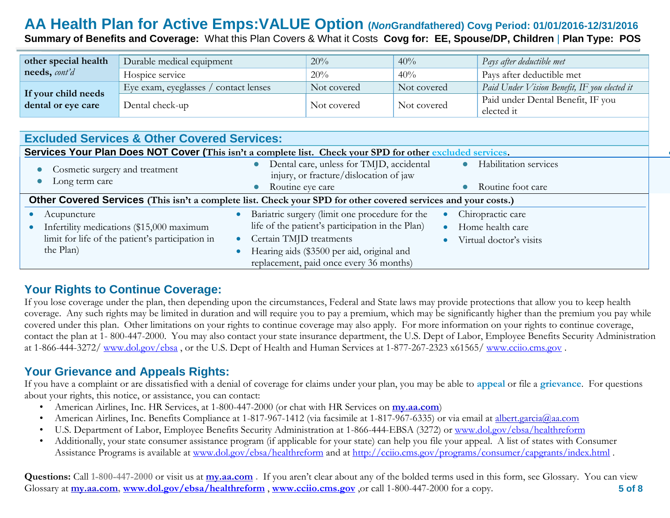## **AA Health Plan for Active Emps:VALUE Option (***Non***Grandfathered) Covg Period: 01/01/2016-12/31/2016 Summary of Benefits and Coverage:** What this Plan Covers & What it Costs **Covg for: EE, Spouse/DP, Children** | **Plan Type: POS**

| other special health                      | Durable medical equipment              | 20%         | 40%         | Pays after deductible met                       |
|-------------------------------------------|----------------------------------------|-------------|-------------|-------------------------------------------------|
| needs, cont'd                             | Hospice service                        | $20\%$      | 40%         | Pays after deductible met                       |
|                                           | contact lenses<br>Eye exam, eyeglasses | Not covered | Not covered | Paid Under Vision Benefit, IF you elected it    |
| If your child needs<br>dental or eye care | Dental check-up                        | Not covered | Not covered | Paid under Dental Benefit, IF you<br>elected it |

| <b>Excluded Services &amp; Other Covered Services:</b> |                                                                                                                |                                   |  |  |
|--------------------------------------------------------|----------------------------------------------------------------------------------------------------------------|-----------------------------------|--|--|
|                                                        | Services Your Plan Does NOT Cover (This isn't a complete list. Check your SPD for other excluded services.     |                                   |  |  |
| Cosmetic surgery and treatment<br>Long term care       | Dental care, unless for TMJD, accidental<br>injury, or fracture/dislocation of jaw                             | Habilitation services             |  |  |
|                                                        | Routine eye care                                                                                               | Routine foot care                 |  |  |
|                                                        | Other Covered Services (This isn't a complete list. Check your SPD for other covered services and your costs.) |                                   |  |  |
| • Acupuncture                                          | Bariatric surgery (limit one procedure for the                                                                 | Chiropractic care                 |  |  |
| • Infertility medications $$15,000$ maximum            | life of the patient's participation in the Plan)                                                               | Home health care                  |  |  |
| limit for life of the patient's participation in       | Certain TMJD treatments<br>$\bullet$                                                                           | $\bullet$ Virtual doctor's visits |  |  |
| the Plan)                                              | • Hearing aids (\$3500 per aid, original and                                                                   |                                   |  |  |
|                                                        | replacement, paid once every 36 months)                                                                        |                                   |  |  |

## **Your Rights to Continue Coverage:**

If you lose coverage under the plan, then depending upon the circumstances, Federal and State laws may provide protections that allow you to keep health coverage. Any such rights may be limited in duration and will require you to pay a premium, which may be significantly higher than the premium you pay while covered under this plan. Other limitations on your rights to continue coverage may also apply. For more information on your rights to continue coverage, contact the plan at 1- 800-447-2000. You may also contact your state insurance department, the U.S. Dept of Labor, Employee Benefits Security Administration at 1-866-444-3272/ [www.dol.gov/ebsa](http://www.dol.gov/ebsa) , or the U.S. Dept of Health and Human Services at 1-877-267-2323 x61565/ [www.cciio.cms.gov](http://www.cciio.cms.gov/) .

## **Your Grievance and Appeals Rights:**

If you have a complaint or are dissatisfied with a denial of coverage for claims under your plan, you may be able to **appeal** or file a **grievance**. For questions about your rights, this notice, or assistance, you can contact:

- American Airlines, Inc. HR Services, at 1-800-447-2000 (or chat with HR Services on **my.aa.com**)
- American Airlines, Inc. Benefits Compliance at 1-817-967-1412 (via facsimile at 1-817-967-6335) or via email at albert.garcia@aa.com
- U.S. Department of Labor, Employee Benefits Security Administration at 1-866-444-EBSA (3272) or [www.dol.gov/ebsa/healthreform](http://www.dol.gov/ebsa/healthreform)
- Additionally, your state consumer assistance program (if applicable for your state) can help you file your appeal. A list of states with Consumer Assistance Programs is available at [www.dol.gov/ebsa/healthreform](http://www.dol.gov/ebsa/healthreform) and at<http://cciio.cms.gov/programs/consumer/capgrants/index.html> .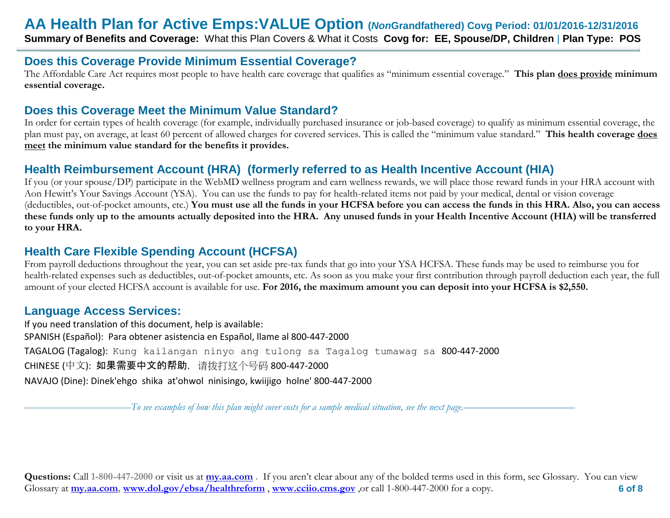#### **Does this Coverage Provide Minimum Essential Coverage?**

The Affordable Care Act requires most people to have health care coverage that qualifies as "minimum essential coverage." **This plan does provide minimum essential coverage.** 

## **Does this Coverage Meet the Minimum Value Standard?**

In order for certain types of health coverage (for example, individually purchased insurance or job-based coverage) to qualify as minimum essential coverage, the plan must pay, on average, at least 60 percent of allowed charges for covered services. This is called the "minimum value standard." **This health coverage does meet the minimum value standard for the benefits it provides.** 

## **Health Reimbursement Account (HRA) (formerly referred to as Health Incentive Account (HIA)**

If you (or your spouse/DP) participate in the WebMD wellness program and earn wellness rewards, we will place those reward funds in your HRA account with Aon Hewitt's Your Savings Account (YSA). You can use the funds to pay for health-related items not paid by your medical, dental or vision coverage (deductibles, out-of-pocket amounts, etc.) **You must use all the funds in your HCFSA before you can access the funds in this HRA. Also, you can access these funds only up to the amounts actually deposited into the HRA. Any unused funds in your Health Incentive Account (HIA) will be transferred to your HRA.**

## **Health Care Flexible Spending Account (HCFSA)**

From payroll deductions throughout the year, you can set aside pre-tax funds that go into your YSA HCFSA. These funds may be used to reimburse you for health-related expenses such as deductibles, out-of-pocket amounts, etc. As soon as you make your first contribution through payroll deduction each year, the full amount of your elected HCFSA account is available for use. **For 2016, the maximum amount you can deposit into your HCFSA is \$2,550.**

### **Language Access Services:**

If you need translation of this document, help is available: SPANISH (Español): Para obtener asistencia en Español, llame al 800-447-2000 TAGALOG (Tagalog): Kung kailangan ninyo ang tulong sa Tagalog tumawag sa 800-447-2000 CHINESE (中文): 如果需要中文的帮助,请拨打这个号码 800-447-2000 NAVAJO (Dine): Dinek'ehgo shika at'ohwol ninisingo, kwiijigo holne' 800-447-2000

–––––––––––––––––––––*To see examples of how this plan might cover costs for a sample medical situation, see the next page.–––––––––––*–––––––––––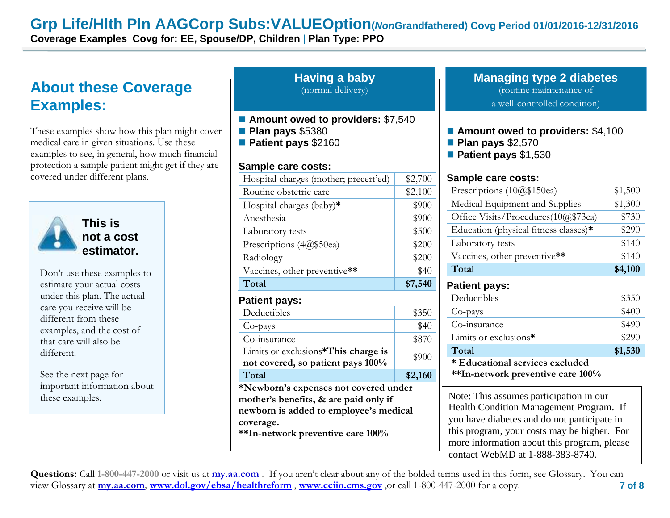## **Grp Life/Hlth Pln AAGCorp Subs:VALUEOption(***Non***Grandfathered) Covg Period 01/01/2016-12/31/2016**

**Coverage Examples Covg for: EE, Spouse/DP, Children** | **Plan Type: PPO**

# **About these Coverage Examples:**

These examples show how this plan might cover medical care in given situations. Use these examples to see, in general, how much financial protection a sample patient might get if they are covered under different plans.



#### **Having a baby** (normal delivery)

- Amount owed to providers: \$7,540
- **Plan pays** \$5380
- **Patient pays** \$2160

#### **Sample care costs:**

| vered under different plans.                      |                                                                                                                                                                                                                                                                                                                                                                                                                                                                                                                                                                                                                                                                                                                                                                                                                                                                                                                              |                                     |                                                                                                                                                                       |  |
|---------------------------------------------------|------------------------------------------------------------------------------------------------------------------------------------------------------------------------------------------------------------------------------------------------------------------------------------------------------------------------------------------------------------------------------------------------------------------------------------------------------------------------------------------------------------------------------------------------------------------------------------------------------------------------------------------------------------------------------------------------------------------------------------------------------------------------------------------------------------------------------------------------------------------------------------------------------------------------------|-------------------------------------|-----------------------------------------------------------------------------------------------------------------------------------------------------------------------|--|
|                                                   |                                                                                                                                                                                                                                                                                                                                                                                                                                                                                                                                                                                                                                                                                                                                                                                                                                                                                                                              |                                     |                                                                                                                                                                       |  |
|                                                   |                                                                                                                                                                                                                                                                                                                                                                                                                                                                                                                                                                                                                                                                                                                                                                                                                                                                                                                              |                                     | Medical Equipment and Supplies                                                                                                                                        |  |
|                                                   | <b>Sample care costs:</b><br>Hospital charges (mother; precert'ed)<br>\$2,700<br>Prescriptions $(10@$150ea)$<br>Routine obstetric care<br>\$2,100<br>Hospital charges (baby)*<br>\$900<br>Anesthesia<br>\$900<br>This is<br>\$500<br>Laboratory tests<br>not a cost<br>Laboratory tests<br>Prescriptions (4@\$50ea)<br>\$200<br>estimator.<br>Radiology<br>\$200<br>Total<br>Vaccines, other preventive**<br>\$40<br>Total<br>\$7,540<br><b>Patient pays:</b><br>Deductibles<br><b>Patient pays:</b><br>Co-pays<br>Deductibles<br>\$350<br>Co-insurance<br>\$40<br>Co-pays<br>Limits or exclusions*<br>\$870<br>Co-insurance<br>Total<br>Limits or exclusions*This charge is<br>\$900<br>not covered, so patient pays 100%<br>Total<br>\$2,160<br>*Newborn's expenses not covered under<br>mother's benefits, & are paid only if<br>newborn is added to employee's medical<br>coverage.<br>**In-network preventive care 100% | Office Visits/Procedures(10@\$73ea) |                                                                                                                                                                       |  |
|                                                   |                                                                                                                                                                                                                                                                                                                                                                                                                                                                                                                                                                                                                                                                                                                                                                                                                                                                                                                              |                                     | Education (physical fitness classes)*                                                                                                                                 |  |
|                                                   |                                                                                                                                                                                                                                                                                                                                                                                                                                                                                                                                                                                                                                                                                                                                                                                                                                                                                                                              |                                     |                                                                                                                                                                       |  |
|                                                   |                                                                                                                                                                                                                                                                                                                                                                                                                                                                                                                                                                                                                                                                                                                                                                                                                                                                                                                              |                                     | Vaccines, other preventive**                                                                                                                                          |  |
| Don't use these examples to                       |                                                                                                                                                                                                                                                                                                                                                                                                                                                                                                                                                                                                                                                                                                                                                                                                                                                                                                                              |                                     |                                                                                                                                                                       |  |
| estimate your actual costs                        |                                                                                                                                                                                                                                                                                                                                                                                                                                                                                                                                                                                                                                                                                                                                                                                                                                                                                                                              |                                     |                                                                                                                                                                       |  |
| under this plan. The actual                       |                                                                                                                                                                                                                                                                                                                                                                                                                                                                                                                                                                                                                                                                                                                                                                                                                                                                                                                              |                                     |                                                                                                                                                                       |  |
| care you receive will be                          |                                                                                                                                                                                                                                                                                                                                                                                                                                                                                                                                                                                                                                                                                                                                                                                                                                                                                                                              |                                     |                                                                                                                                                                       |  |
| different from these<br>examples, and the cost of |                                                                                                                                                                                                                                                                                                                                                                                                                                                                                                                                                                                                                                                                                                                                                                                                                                                                                                                              |                                     |                                                                                                                                                                       |  |
| that care will also be                            |                                                                                                                                                                                                                                                                                                                                                                                                                                                                                                                                                                                                                                                                                                                                                                                                                                                                                                                              |                                     |                                                                                                                                                                       |  |
| different.                                        |                                                                                                                                                                                                                                                                                                                                                                                                                                                                                                                                                                                                                                                                                                                                                                                                                                                                                                                              |                                     |                                                                                                                                                                       |  |
|                                                   |                                                                                                                                                                                                                                                                                                                                                                                                                                                                                                                                                                                                                                                                                                                                                                                                                                                                                                                              |                                     | * Educational services excluded                                                                                                                                       |  |
| See the next page for                             |                                                                                                                                                                                                                                                                                                                                                                                                                                                                                                                                                                                                                                                                                                                                                                                                                                                                                                                              |                                     | **In-network preventive care 100%                                                                                                                                     |  |
| important information about<br>these examples.    |                                                                                                                                                                                                                                                                                                                                                                                                                                                                                                                                                                                                                                                                                                                                                                                                                                                                                                                              |                                     | Note: This assumes participation in our<br>Health Condition Management Program<br>you have diabetes and do not participate<br>this program, your costs may be higher. |  |
|                                                   |                                                                                                                                                                                                                                                                                                                                                                                                                                                                                                                                                                                                                                                                                                                                                                                                                                                                                                                              |                                     | more information about this program, p                                                                                                                                |  |

#### **Managing type 2 diabetes** (routine maintenance of a well-controlled condition)

- **Amount owed to providers: \$4,100**
- **Plan pays** \$2,570
- **Patient pays** \$1,530

#### **Sample care costs:**

| Prescriptions (10@\$150ea)            | \$1,500 |
|---------------------------------------|---------|
| Medical Equipment and Supplies        | \$1,300 |
| Office Visits/Procedures(10@\$73ea)   | \$730   |
| Education (physical fitness classes)* | \$290   |
| Laboratory tests                      | \$140   |
| Vaccines, other preventive**          | \$140   |
| Total                                 | \$4,100 |

#### **Patient pays:**

| Deductibles                     | \$350   |  |
|---------------------------------|---------|--|
| Co-pays                         | \$400   |  |
| Co-insurance                    | \$490   |  |
| Limits or exclusions*           | \$290   |  |
| Total                           | \$1,530 |  |
| * Educational services excluded |         |  |

Health Condition Management Program. If you have diabetes and do not participate in this program, your costs may be higher. For more information about this program, please contact WebMD at 1-888-383-8740.